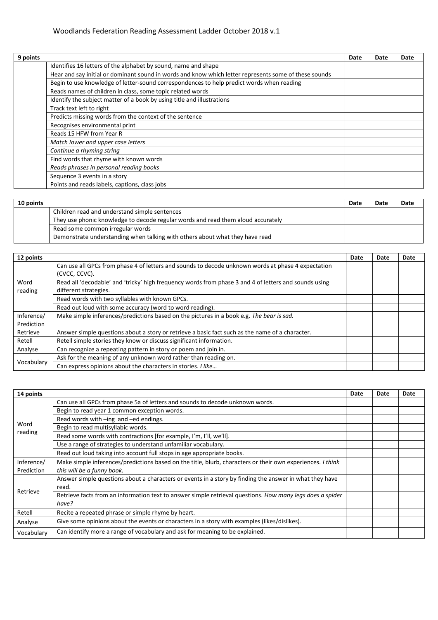## Woodlands Federation Reading Assessment Ladder October 2018 v.1

| 9 points |                                                                                                       | Date | Date | Date |
|----------|-------------------------------------------------------------------------------------------------------|------|------|------|
|          | Identifies 16 letters of the alphabet by sound, name and shape                                        |      |      |      |
|          | Hear and say initial or dominant sound in words and know which letter represents some of these sounds |      |      |      |
|          | Begin to use knowledge of letter-sound correspondences to help predict words when reading             |      |      |      |
|          | Reads names of children in class, some topic related words                                            |      |      |      |
|          | Identify the subject matter of a book by using title and illustrations                                |      |      |      |
|          | Track text left to right                                                                              |      |      |      |
|          | Predicts missing words from the context of the sentence                                               |      |      |      |
|          | Recognises environmental print                                                                        |      |      |      |
|          | Reads 15 HFW from Year R                                                                              |      |      |      |
|          | Match lower and upper case letters                                                                    |      |      |      |
|          | Continue a rhyming string                                                                             |      |      |      |
|          | Find words that rhyme with known words                                                                |      |      |      |
|          | Reads phrases in personal reading books                                                               |      |      |      |
|          | Sequence 3 events in a story                                                                          |      |      |      |
|          | Points and reads labels, captions, class jobs                                                         |      |      |      |

| 10 points |                                                                                  | Date | Date | Date |
|-----------|----------------------------------------------------------------------------------|------|------|------|
|           | Children read and understand simple sentences                                    |      |      |      |
|           | They use phonic knowledge to decode regular words and read them aloud accurately |      |      |      |
|           | Read some common irregular words                                                 |      |      |      |
|           | Demonstrate understanding when talking with others about what they have read     |      |      |      |

| 12 points                |                                                                                                                                | Date | Date | Date |
|--------------------------|--------------------------------------------------------------------------------------------------------------------------------|------|------|------|
|                          | Can use all GPCs from phase 4 of letters and sounds to decode unknown words at phase 4 expectation<br>(CVCC, CCVC).            |      |      |      |
| Word<br>reading          | Read all 'decodable' and 'tricky' high frequency words from phase 3 and 4 of letters and sounds using<br>different strategies. |      |      |      |
|                          | Read words with two syllables with known GPCs.                                                                                 |      |      |      |
|                          | Read out loud with some accuracy (word to word reading).                                                                       |      |      |      |
| Inference/<br>Prediction | Make simple inferences/predictions based on the pictures in a book e.g. The bear is sad.                                       |      |      |      |
| Retrieve                 | Answer simple questions about a story or retrieve a basic fact such as the name of a character.                                |      |      |      |
| Retell                   | Retell simple stories they know or discuss significant information.                                                            |      |      |      |
| Analyse                  | Can recognize a repeating pattern in story or poem and join in.                                                                |      |      |      |
| Vocabulary               | Ask for the meaning of any unknown word rather than reading on.                                                                |      |      |      |
|                          | Can express opinions about the characters in stories. I like                                                                   |      |      |      |

| 14 points  |                                                                                                            | Date | Date | Date |
|------------|------------------------------------------------------------------------------------------------------------|------|------|------|
|            | Can use all GPCs from phase 5a of letters and sounds to decode unknown words.                              |      |      |      |
| Word       | Begin to read year 1 common exception words.                                                               |      |      |      |
|            | Read words with -ing and -ed endings.                                                                      |      |      |      |
|            | Begin to read multisyllabic words.                                                                         |      |      |      |
| reading    | Read some words with contractions [for example, I'm, I'll, we'll].                                         |      |      |      |
|            | Use a range of strategies to understand unfamiliar vocabulary.                                             |      |      |      |
|            | Read out loud taking into account full stops in age appropriate books.                                     |      |      |      |
| Inference/ | Make simple inferences/predictions based on the title, blurb, characters or their own experiences. I think |      |      |      |
| Prediction | this will be a funny book.                                                                                 |      |      |      |
|            | Answer simple questions about a characters or events in a story by finding the answer in what they have    |      |      |      |
| Retrieve   | read.                                                                                                      |      |      |      |
|            | Retrieve facts from an information text to answer simple retrieval questions. How many legs does a spider  |      |      |      |
|            | have?                                                                                                      |      |      |      |
| Retell     | Recite a repeated phrase or simple rhyme by heart.                                                         |      |      |      |
| Analyse    | Give some opinions about the events or characters in a story with examples (likes/dislikes).               |      |      |      |
| Vocabulary | Can identify more a range of vocabulary and ask for meaning to be explained.                               |      |      |      |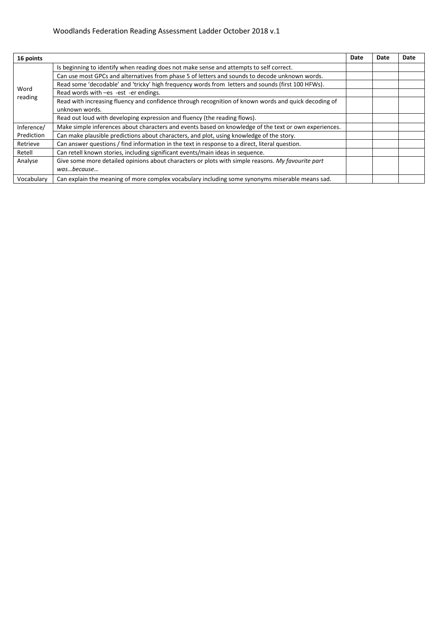## Woodlands Federation Reading Assessment Ladder October 2018 v.1

| 16 points  |                                                                                                       | Date | Date | Date |
|------------|-------------------------------------------------------------------------------------------------------|------|------|------|
|            | Is beginning to identify when reading does not make sense and attempts to self correct.               |      |      |      |
|            | Can use most GPCs and alternatives from phase 5 of letters and sounds to decode unknown words.        |      |      |      |
|            | Read some 'decodable' and 'tricky' high frequency words from letters and sounds (first 100 HFWs).     |      |      |      |
| Word       | Read words with -es -est -er endings.                                                                 |      |      |      |
| reading    | Read with increasing fluency and confidence through recognition of known words and quick decoding of  |      |      |      |
|            | unknown words.                                                                                        |      |      |      |
|            | Read out loud with developing expression and fluency (the reading flows).                             |      |      |      |
| Inference/ | Make simple inferences about characters and events based on knowledge of the text or own experiences. |      |      |      |
| Prediction | Can make plausible predictions about characters, and plot, using knowledge of the story.              |      |      |      |
| Retrieve   | Can answer questions / find information in the text in response to a direct, literal question.        |      |      |      |
| Retell     | Can retell known stories, including significant events/main ideas in sequence.                        |      |      |      |
| Analyse    | Give some more detailed opinions about characters or plots with simple reasons. My favourite part     |      |      |      |
|            | wasbecause                                                                                            |      |      |      |
| Vocabulary | Can explain the meaning of more complex vocabulary including some synonyms miserable means sad.       |      |      |      |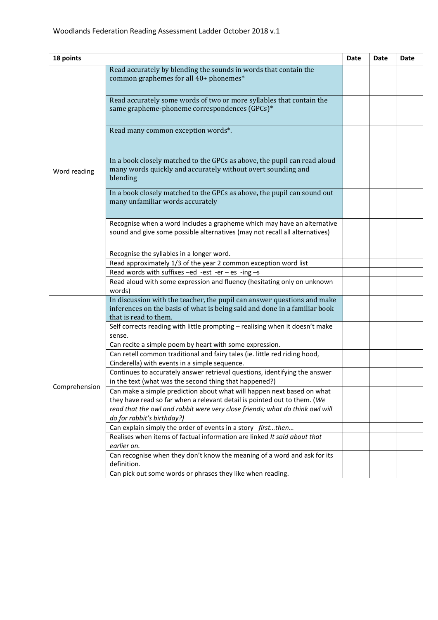| 18 points     |                                                                                                                                                                                                                                                                  | Date | Date | Date |
|---------------|------------------------------------------------------------------------------------------------------------------------------------------------------------------------------------------------------------------------------------------------------------------|------|------|------|
| Word reading  | Read accurately by blending the sounds in words that contain the<br>common graphemes for all 40+ phonemes*                                                                                                                                                       |      |      |      |
|               | Read accurately some words of two or more syllables that contain the<br>same grapheme-phoneme correspondences (GPCs)*                                                                                                                                            |      |      |      |
|               | Read many common exception words*.                                                                                                                                                                                                                               |      |      |      |
|               | In a book closely matched to the GPCs as above, the pupil can read aloud<br>many words quickly and accurately without overt sounding and<br>blending                                                                                                             |      |      |      |
|               | In a book closely matched to the GPCs as above, the pupil can sound out<br>many unfamiliar words accurately                                                                                                                                                      |      |      |      |
|               | Recognise when a word includes a grapheme which may have an alternative<br>sound and give some possible alternatives (may not recall all alternatives)                                                                                                           |      |      |      |
|               | Recognise the syllables in a longer word.                                                                                                                                                                                                                        |      |      |      |
|               | Read approximately 1/3 of the year 2 common exception word list                                                                                                                                                                                                  |      |      |      |
|               | Read words with suffixes $-e$ d -est -er - es -ing -s                                                                                                                                                                                                            |      |      |      |
|               | Read aloud with some expression and fluency (hesitating only on unknown<br>words)                                                                                                                                                                                |      |      |      |
|               | In discussion with the teacher, the pupil can answer questions and make<br>inferences on the basis of what is being said and done in a familiar book<br>that is read to them.                                                                                    |      |      |      |
|               | Self corrects reading with little prompting - realising when it doesn't make<br>sense.                                                                                                                                                                           |      |      |      |
|               | Can recite a simple poem by heart with some expression.                                                                                                                                                                                                          |      |      |      |
|               | Can retell common traditional and fairy tales (ie. little red riding hood,<br>Cinderella) with events in a simple sequence.                                                                                                                                      |      |      |      |
|               | Continues to accurately answer retrieval questions, identifying the answer<br>in the text (what was the second thing that happened?)                                                                                                                             |      |      |      |
| Comprehension | Can make a simple prediction about what will happen next based on what<br>they have read so far when a relevant detail is pointed out to them. (We<br>read that the owl and rabbit were very close friends; what do think owl will<br>do for rabbit's birthday?) |      |      |      |
|               | Can explain simply the order of events in a story firstthen                                                                                                                                                                                                      |      |      |      |
|               | Realises when items of factual information are linked It said about that<br>earlier on.                                                                                                                                                                          |      |      |      |
|               | Can recognise when they don't know the meaning of a word and ask for its<br>definition.                                                                                                                                                                          |      |      |      |
|               | Can pick out some words or phrases they like when reading.                                                                                                                                                                                                       |      |      |      |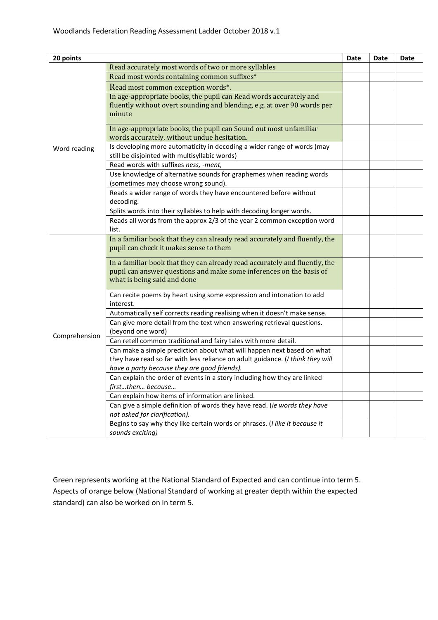| 20 points     |                                                                                                                  | <b>Date</b> | <b>Date</b> | Date |
|---------------|------------------------------------------------------------------------------------------------------------------|-------------|-------------|------|
|               | Read accurately most words of two or more syllables                                                              |             |             |      |
| Word reading  | Read most words containing common suffixes*                                                                      |             |             |      |
|               | Read most common exception words*.                                                                               |             |             |      |
|               | In age-appropriate books, the pupil can Read words accurately and                                                |             |             |      |
|               | fluently without overt sounding and blending, e.g. at over 90 words per                                          |             |             |      |
|               | minute                                                                                                           |             |             |      |
|               | In age-appropriate books, the pupil can Sound out most unfamiliar<br>words accurately, without undue hesitation. |             |             |      |
|               | Is developing more automaticity in decoding a wider range of words (may                                          |             |             |      |
|               | still be disjointed with multisyllabic words)                                                                    |             |             |      |
|               | Read words with suffixes ness, -ment,                                                                            |             |             |      |
|               | Use knowledge of alternative sounds for graphemes when reading words                                             |             |             |      |
|               | (sometimes may choose wrong sound).                                                                              |             |             |      |
|               | Reads a wider range of words they have encountered before without                                                |             |             |      |
|               | decoding.                                                                                                        |             |             |      |
|               | Splits words into their syllables to help with decoding longer words.                                            |             |             |      |
|               | Reads all words from the approx 2/3 of the year 2 common exception word                                          |             |             |      |
|               | list.                                                                                                            |             |             |      |
|               | In a familiar book that they can already read accurately and fluently, the                                       |             |             |      |
|               | pupil can check it makes sense to them                                                                           |             |             |      |
|               | In a familiar book that they can already read accurately and fluently, the                                       |             |             |      |
|               | pupil can answer questions and make some inferences on the basis of                                              |             |             |      |
|               | what is being said and done                                                                                      |             |             |      |
|               | Can recite poems by heart using some expression and intonation to add                                            |             |             |      |
|               | interest.                                                                                                        |             |             |      |
|               | Automatically self corrects reading realising when it doesn't make sense.                                        |             |             |      |
|               | Can give more detail from the text when answering retrieval questions.                                           |             |             |      |
| Comprehension | (beyond one word)                                                                                                |             |             |      |
|               | Can retell common traditional and fairy tales with more detail.                                                  |             |             |      |
|               | Can make a simple prediction about what will happen next based on what                                           |             |             |      |
|               | they have read so far with less reliance on adult guidance. (I think they will                                   |             |             |      |
|               | have a party because they are good friends).                                                                     |             |             |      |
|               | Can explain the order of events in a story including how they are linked                                         |             |             |      |
|               | firstthen because                                                                                                |             |             |      |
|               | Can explain how items of information are linked.                                                                 |             |             |      |
|               | Can give a simple definition of words they have read. (ie words they have                                        |             |             |      |
|               | not asked for clarification).                                                                                    |             |             |      |
|               | Begins to say why they like certain words or phrases. (I like it because it                                      |             |             |      |
|               | sounds exciting)                                                                                                 |             |             |      |

Green represents working at the National Standard of Expected and can continue into term 5. Aspects of orange below (National Standard of working at greater depth within the expected standard) can also be worked on in term 5.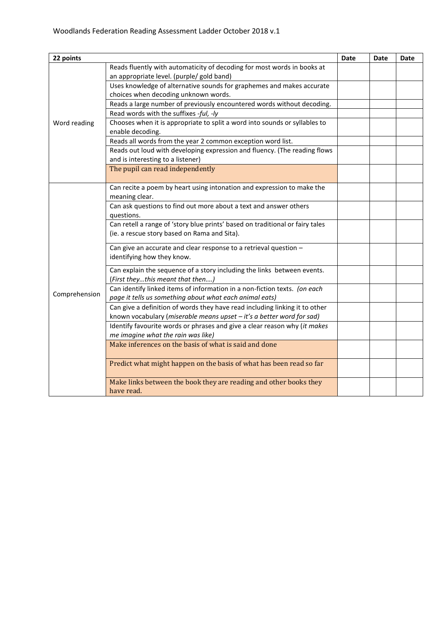| 22 points     |                                                                                 | <b>Date</b> | <b>Date</b> | Date |
|---------------|---------------------------------------------------------------------------------|-------------|-------------|------|
|               | Reads fluently with automaticity of decoding for most words in books at         |             |             |      |
| Word reading  | an appropriate level. (purple/ gold band)                                       |             |             |      |
|               | Uses knowledge of alternative sounds for graphemes and makes accurate           |             |             |      |
|               | choices when decoding unknown words.                                            |             |             |      |
|               | Reads a large number of previously encountered words without decoding.          |             |             |      |
|               | Read words with the suffixes -ful, -ly                                          |             |             |      |
|               | Chooses when it is appropriate to split a word into sounds or syllables to      |             |             |      |
|               | enable decoding.                                                                |             |             |      |
|               | Reads all words from the year 2 common exception word list.                     |             |             |      |
|               | Reads out loud with developing expression and fluency. (The reading flows       |             |             |      |
|               | and is interesting to a listener)                                               |             |             |      |
|               | The pupil can read independently                                                |             |             |      |
|               | Can recite a poem by heart using intonation and expression to make the          |             |             |      |
|               | meaning clear.                                                                  |             |             |      |
|               | Can ask questions to find out more about a text and answer others               |             |             |      |
|               | questions.                                                                      |             |             |      |
|               | Can retell a range of 'story blue prints' based on traditional or fairy tales   |             |             |      |
|               | (ie. a rescue story based on Rama and Sita).                                    |             |             |      |
|               | Can give an accurate and clear response to a retrieval question -               |             |             |      |
|               | identifying how they know.                                                      |             |             |      |
|               | Can explain the sequence of a story including the links between events.         |             |             |      |
|               | (First theythis meant that then)                                                |             |             |      |
| Comprehension | Can identify linked items of information in a non-fiction texts. (on each       |             |             |      |
|               | page it tells us something about what each animal eats)                         |             |             |      |
|               | Can give a definition of words they have read including linking it to other     |             |             |      |
|               | known vocabulary (miserable means upset - it's a better word for sad)           |             |             |      |
|               | Identify favourite words or phrases and give a clear reason why (it makes       |             |             |      |
|               | me imagine what the rain was like)                                              |             |             |      |
|               | Make inferences on the basis of what is said and done                           |             |             |      |
|               | Predict what might happen on the basis of what has been read so far             |             |             |      |
|               | Make links between the book they are reading and other books they<br>have read. |             |             |      |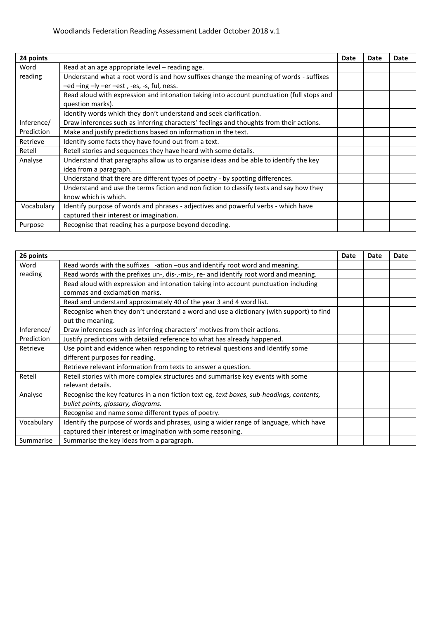| 24 points  |                                                                                           | Date | Date | Date |
|------------|-------------------------------------------------------------------------------------------|------|------|------|
| Word       | Read at an age appropriate level – reading age.                                           |      |      |      |
| reading    | Understand what a root word is and how suffixes change the meaning of words - suffixes    |      |      |      |
|            | -ed -ing -ly -er -est, -es, -s, ful, ness.                                                |      |      |      |
|            | Read aloud with expression and intonation taking into account punctuation (full stops and |      |      |      |
|            | question marks).                                                                          |      |      |      |
|            | identify words which they don't understand and seek clarification.                        |      |      |      |
| Inference/ | Draw inferences such as inferring characters' feelings and thoughts from their actions.   |      |      |      |
| Prediction | Make and justify predictions based on information in the text.                            |      |      |      |
| Retrieve   | Identify some facts they have found out from a text.                                      |      |      |      |
| Retell     | Retell stories and sequences they have heard with some details.                           |      |      |      |
| Analyse    | Understand that paragraphs allow us to organise ideas and be able to identify the key     |      |      |      |
|            | idea from a paragraph.                                                                    |      |      |      |
|            | Understand that there are different types of poetry - by spotting differences.            |      |      |      |
|            | Understand and use the terms fiction and non fiction to classify texts and say how they   |      |      |      |
|            | know which is which.                                                                      |      |      |      |
| Vocabulary | Identify purpose of words and phrases - adjectives and powerful verbs - which have        |      |      |      |
|            | captured their interest or imagination.                                                   |      |      |      |
| Purpose    | Recognise that reading has a purpose beyond decoding.                                     |      |      |      |

| 26 points  |                                                                                                                                | Date | Date | Date |
|------------|--------------------------------------------------------------------------------------------------------------------------------|------|------|------|
| Word       | Read words with the suffixes -ation -ous and identify root word and meaning.                                                   |      |      |      |
| reading    | Read words with the prefixes un-, dis-,-mis-, re- and identify root word and meaning.                                          |      |      |      |
|            | Read aloud with expression and intonation taking into account punctuation including<br>commas and exclamation marks.           |      |      |      |
|            | Read and understand approximately 40 of the year 3 and 4 word list.                                                            |      |      |      |
|            | Recognise when they don't understand a word and use a dictionary (with support) to find<br>out the meaning.                    |      |      |      |
| Inference/ | Draw inferences such as inferring characters' motives from their actions.                                                      |      |      |      |
| Prediction | Justify predictions with detailed reference to what has already happened.                                                      |      |      |      |
| Retrieve   | Use point and evidence when responding to retrieval questions and Identify some                                                |      |      |      |
|            | different purposes for reading.                                                                                                |      |      |      |
|            | Retrieve relevant information from texts to answer a question.                                                                 |      |      |      |
| Retell     | Retell stories with more complex structures and summarise key events with some<br>relevant details.                            |      |      |      |
| Analyse    | Recognise the key features in a non fiction text eg, text boxes, sub-headings, contents,<br>bullet points, glossary, diagrams. |      |      |      |
|            | Recognise and name some different types of poetry.                                                                             |      |      |      |
| Vocabulary | Identify the purpose of words and phrases, using a wider range of language, which have                                         |      |      |      |
|            | captured their interest or imagination with some reasoning.                                                                    |      |      |      |
| Summarise  | Summarise the key ideas from a paragraph.                                                                                      |      |      |      |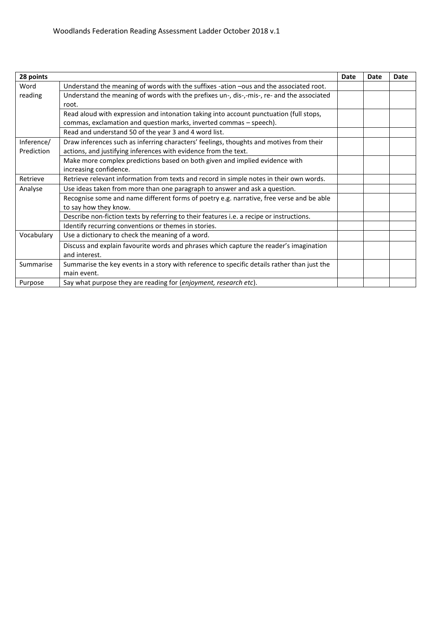| 28 points  |                                                                                             | Date | Date | <b>Date</b> |
|------------|---------------------------------------------------------------------------------------------|------|------|-------------|
| Word       | Understand the meaning of words with the suffixes -ation -ous and the associated root.      |      |      |             |
| reading    | Understand the meaning of words with the prefixes un-, dis-,-mis-, re- and the associated   |      |      |             |
|            | root.                                                                                       |      |      |             |
|            | Read aloud with expression and intonation taking into account punctuation (full stops,      |      |      |             |
|            | commas, exclamation and question marks, inverted commas - speech).                          |      |      |             |
|            | Read and understand 50 of the year 3 and 4 word list.                                       |      |      |             |
| Inference/ | Draw inferences such as inferring characters' feelings, thoughts and motives from their     |      |      |             |
| Prediction | actions, and justifying inferences with evidence from the text.                             |      |      |             |
|            | Make more complex predictions based on both given and implied evidence with                 |      |      |             |
|            | increasing confidence.                                                                      |      |      |             |
| Retrieve   | Retrieve relevant information from texts and record in simple notes in their own words.     |      |      |             |
| Analyse    | Use ideas taken from more than one paragraph to answer and ask a question.                  |      |      |             |
|            | Recognise some and name different forms of poetry e.g. narrative, free verse and be able    |      |      |             |
|            | to say how they know.                                                                       |      |      |             |
|            | Describe non-fiction texts by referring to their features i.e. a recipe or instructions.    |      |      |             |
|            | Identify recurring conventions or themes in stories.                                        |      |      |             |
| Vocabulary | Use a dictionary to check the meaning of a word.                                            |      |      |             |
|            | Discuss and explain favourite words and phrases which capture the reader's imagination      |      |      |             |
|            | and interest.                                                                               |      |      |             |
| Summarise  | Summarise the key events in a story with reference to specific details rather than just the |      |      |             |
|            | main event.                                                                                 |      |      |             |
| Purpose    | Say what purpose they are reading for (enjoyment, research etc).                            |      |      |             |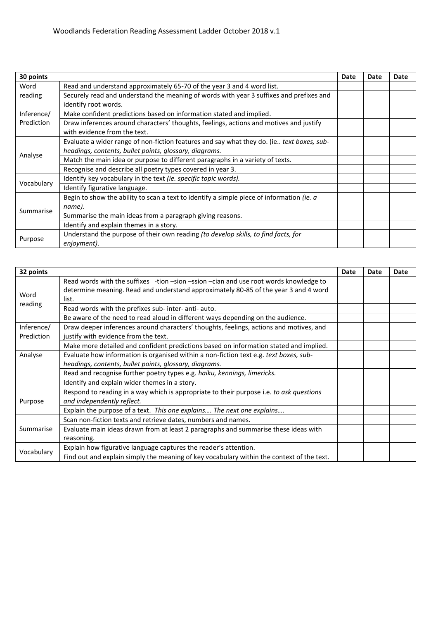| 30 points  |                                                                                           | Date | Date | Date |
|------------|-------------------------------------------------------------------------------------------|------|------|------|
| Word       | Read and understand approximately 65-70 of the year 3 and 4 word list.                    |      |      |      |
| reading    | Securely read and understand the meaning of words with year 3 suffixes and prefixes and   |      |      |      |
|            | identify root words.                                                                      |      |      |      |
| Inference/ | Make confident predictions based on information stated and implied.                       |      |      |      |
| Prediction | Draw inferences around characters' thoughts, feelings, actions and motives and justify    |      |      |      |
|            | with evidence from the text.                                                              |      |      |      |
|            | Evaluate a wider range of non-fiction features and say what they do. (ie text boxes, sub- |      |      |      |
| Analyse    | headings, contents, bullet points, glossary, diagrams.                                    |      |      |      |
|            | Match the main idea or purpose to different paragraphs in a variety of texts.             |      |      |      |
|            | Recognise and describe all poetry types covered in year 3.                                |      |      |      |
|            | Identify key vocabulary in the text (ie. specific topic words).                           |      |      |      |
| Vocabulary | Identify figurative language.                                                             |      |      |      |
|            | Begin to show the ability to scan a text to identify a simple piece of information (ie. a |      |      |      |
| Summarise  | name).                                                                                    |      |      |      |
|            | Summarise the main ideas from a paragraph giving reasons.                                 |      |      |      |
|            | Identify and explain themes in a story.                                                   |      |      |      |
|            | Understand the purpose of their own reading (to develop skills, to find facts, for        |      |      |      |
| Purpose    | enjoyment).                                                                               |      |      |      |

| 32 points  |                                                                                           | Date | Date | <b>Date</b> |
|------------|-------------------------------------------------------------------------------------------|------|------|-------------|
|            | Read words with the suffixes -tion -sion -ssion -cian and use root words knowledge to     |      |      |             |
|            | determine meaning. Read and understand approximately 80-85 of the year 3 and 4 word       |      |      |             |
| Word       | list.                                                                                     |      |      |             |
| reading    | Read words with the prefixes sub- inter- anti- auto.                                      |      |      |             |
|            | Be aware of the need to read aloud in different ways depending on the audience.           |      |      |             |
| Inference/ | Draw deeper inferences around characters' thoughts, feelings, actions and motives, and    |      |      |             |
| Prediction | justify with evidence from the text.                                                      |      |      |             |
|            | Make more detailed and confident predictions based on information stated and implied.     |      |      |             |
| Analyse    | Evaluate how information is organised within a non-fiction text e.g. text boxes, sub-     |      |      |             |
|            | headings, contents, bullet points, glossary, diagrams.                                    |      |      |             |
|            | Read and recognise further poetry types e.g. haiku, kennings, limericks.                  |      |      |             |
|            | Identify and explain wider themes in a story.                                             |      |      |             |
|            | Respond to reading in a way which is appropriate to their purpose i.e. to ask questions   |      |      |             |
| Purpose    | and independently reflect.                                                                |      |      |             |
|            | Explain the purpose of a text. This one explains The next one explains                    |      |      |             |
| Summarise  | Scan non-fiction texts and retrieve dates, numbers and names.                             |      |      |             |
|            | Evaluate main ideas drawn from at least 2 paragraphs and summarise these ideas with       |      |      |             |
|            | reasoning.                                                                                |      |      |             |
|            | Explain how figurative language captures the reader's attention.                          |      |      |             |
| Vocabulary | Find out and explain simply the meaning of key vocabulary within the context of the text. |      |      |             |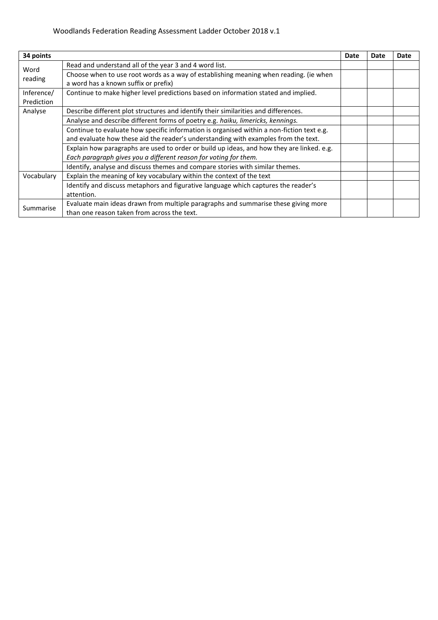| 34 points                |                                                                                                                               | Date | Date | Date |
|--------------------------|-------------------------------------------------------------------------------------------------------------------------------|------|------|------|
| Word<br>reading          | Read and understand all of the year 3 and 4 word list.                                                                        |      |      |      |
|                          | Choose when to use root words as a way of establishing meaning when reading. (ie when<br>a word has a known suffix or prefix) |      |      |      |
| Inference/<br>Prediction | Continue to make higher level predictions based on information stated and implied.                                            |      |      |      |
| Analyse                  | Describe different plot structures and identify their similarities and differences.                                           |      |      |      |
|                          | Analyse and describe different forms of poetry e.g. haiku, limericks, kennings.                                               |      |      |      |
|                          | Continue to evaluate how specific information is organised within a non-fiction text e.g.                                     |      |      |      |
|                          | and evaluate how these aid the reader's understanding with examples from the text.                                            |      |      |      |
|                          | Explain how paragraphs are used to order or build up ideas, and how they are linked. e.g.                                     |      |      |      |
|                          | Each paragraph gives you a different reason for voting for them.                                                              |      |      |      |
|                          | Identify, analyse and discuss themes and compare stories with similar themes.                                                 |      |      |      |
| Vocabulary               | Explain the meaning of key vocabulary within the context of the text                                                          |      |      |      |
|                          | Identify and discuss metaphors and figurative language which captures the reader's                                            |      |      |      |
|                          | attention.                                                                                                                    |      |      |      |
| Summarise                | Evaluate main ideas drawn from multiple paragraphs and summarise these giving more                                            |      |      |      |
|                          | than one reason taken from across the text.                                                                                   |      |      |      |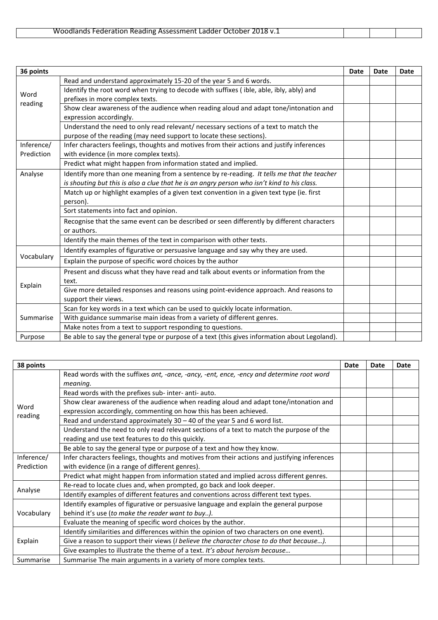| Woodlands Federation Reading Assessment Ladder October 2018 v.1 |
|-----------------------------------------------------------------|
|-----------------------------------------------------------------|

| 36 points                |                                                                                                                                                                                           | <b>Date</b> | <b>Date</b> | <b>Date</b> |
|--------------------------|-------------------------------------------------------------------------------------------------------------------------------------------------------------------------------------------|-------------|-------------|-------------|
|                          | Read and understand approximately 15-20 of the year 5 and 6 words.                                                                                                                        |             |             |             |
| Word<br>reading          | Identify the root word when trying to decode with suffixes (ible, able, ibly, ably) and<br>prefixes in more complex texts.                                                                |             |             |             |
|                          | Show clear awareness of the audience when reading aloud and adapt tone/intonation and<br>expression accordingly.                                                                          |             |             |             |
|                          | Understand the need to only read relevant/ necessary sections of a text to match the<br>purpose of the reading (may need support to locate these sections).                               |             |             |             |
| Inference/<br>Prediction | Infer characters feelings, thoughts and motives from their actions and justify inferences<br>with evidence (in more complex texts).                                                       |             |             |             |
|                          | Predict what might happen from information stated and implied.                                                                                                                            |             |             |             |
| Analyse                  | Identify more than one meaning from a sentence by re-reading. It tells me that the teacher<br>is shouting but this is also a clue that he is an angry person who isn't kind to his class. |             |             |             |
|                          | Match up or highlight examples of a given text convention in a given text type (ie. first<br>person).                                                                                     |             |             |             |
|                          | Sort statements into fact and opinion.                                                                                                                                                    |             |             |             |
|                          | Recognise that the same event can be described or seen differently by different characters<br>or authors.                                                                                 |             |             |             |
|                          | Identify the main themes of the text in comparison with other texts.                                                                                                                      |             |             |             |
|                          | Identify examples of figurative or persuasive language and say why they are used.                                                                                                         |             |             |             |
| Vocabulary               | Explain the purpose of specific word choices by the author                                                                                                                                |             |             |             |
| Explain                  | Present and discuss what they have read and talk about events or information from the<br>text.                                                                                            |             |             |             |
|                          | Give more detailed responses and reasons using point-evidence approach. And reasons to<br>support their views.                                                                            |             |             |             |
|                          | Scan for key words in a text which can be used to quickly locate information.                                                                                                             |             |             |             |
| Summarise                | With guidance summarise main ideas from a variety of different genres.                                                                                                                    |             |             |             |
|                          | Make notes from a text to support responding to questions.                                                                                                                                |             |             |             |
| Purpose                  | Be able to say the general type or purpose of a text (this gives information about Legoland).                                                                                             |             |             |             |

| 38 points                |                                                                                                   | Date | Date | <b>Date</b> |
|--------------------------|---------------------------------------------------------------------------------------------------|------|------|-------------|
|                          | Read words with the suffixes ant, -ance, -ancy, -ent, ence, -ency and determine root word         |      |      |             |
|                          | meaning.                                                                                          |      |      |             |
|                          | Read words with the prefixes sub- inter- anti- auto.                                              |      |      |             |
|                          | Show clear awareness of the audience when reading aloud and adapt tone/intonation and             |      |      |             |
| Word                     | expression accordingly, commenting on how this has been achieved.                                 |      |      |             |
| reading                  | Read and understand approximately 30 - 40 of the year 5 and 6 word list.                          |      |      |             |
|                          | Understand the need to only read relevant sections of a text to match the purpose of the          |      |      |             |
|                          | reading and use text features to do this quickly.                                                 |      |      |             |
|                          | Be able to say the general type or purpose of a text and how they know.                           |      |      |             |
| Inference/<br>Prediction | Infer characters feelings, thoughts and motives from their actions and justifying inferences      |      |      |             |
|                          | with evidence (in a range of different genres).                                                   |      |      |             |
|                          | Predict what might happen from information stated and implied across different genres.            |      |      |             |
| Analyse                  | Re-read to locate clues and, when prompted, go back and look deeper.                              |      |      |             |
|                          | Identify examples of different features and conventions across different text types.              |      |      |             |
| Vocabulary               | Identify examples of figurative or persuasive language and explain the general purpose            |      |      |             |
|                          | behind it's use (to make the reader want to buy).                                                 |      |      |             |
|                          | Evaluate the meaning of specific word choices by the author.                                      |      |      |             |
| Explain                  | Identify similarities and differences within the opinion of two characters on one event).         |      |      |             |
|                          | Give a reason to support their views ( <i>I believe the character chose to do that because)</i> . |      |      |             |
|                          | Give examples to illustrate the theme of a text. It's about heroism because                       |      |      |             |
| Summarise                | Summarise The main arguments in a variety of more complex texts.                                  |      |      |             |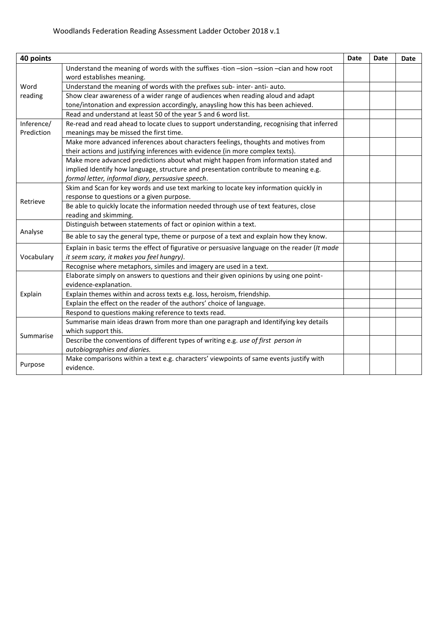| 40 points  |                                                                                                                      | <b>Date</b> | <b>Date</b> | Date |
|------------|----------------------------------------------------------------------------------------------------------------------|-------------|-------------|------|
|            | Understand the meaning of words with the suffixes -tion -sion -ssion -cian and how root<br>word establishes meaning. |             |             |      |
| Word       | Understand the meaning of words with the prefixes sub- inter- anti- auto.                                            |             |             |      |
| reading    | Show clear awareness of a wider range of audiences when reading aloud and adapt                                      |             |             |      |
|            | tone/intonation and expression accordingly, anaysling how this has been achieved.                                    |             |             |      |
|            | Read and understand at least 50 of the year 5 and 6 word list.                                                       |             |             |      |
| Inference/ | Re-read and read ahead to locate clues to support understanding, recognising that inferred                           |             |             |      |
| Prediction | meanings may be missed the first time.                                                                               |             |             |      |
|            | Make more advanced inferences about characters feelings, thoughts and motives from                                   |             |             |      |
|            | their actions and justifying inferences with evidence (in more complex texts).                                       |             |             |      |
|            | Make more advanced predictions about what might happen from information stated and                                   |             |             |      |
|            | implied Identify how language, structure and presentation contribute to meaning e.g.                                 |             |             |      |
|            | formal letter, informal diary, persuasive speech.                                                                    |             |             |      |
|            | Skim and Scan for key words and use text marking to locate key information quickly in                                |             |             |      |
| Retrieve   | response to questions or a given purpose.                                                                            |             |             |      |
|            | Be able to quickly locate the information needed through use of text features, close                                 |             |             |      |
|            | reading and skimming.                                                                                                |             |             |      |
| Analyse    | Distinguish between statements of fact or opinion within a text.                                                     |             |             |      |
|            | Be able to say the general type, theme or purpose of a text and explain how they know.                               |             |             |      |
| Vocabulary | Explain in basic terms the effect of figurative or persuasive language on the reader (It made                        |             |             |      |
|            | it seem scary, it makes you feel hungry).                                                                            |             |             |      |
|            | Recognise where metaphors, similes and imagery are used in a text.                                                   |             |             |      |
| Explain    | Elaborate simply on answers to questions and their given opinions by using one point-<br>evidence-explanation.       |             |             |      |
|            | Explain themes within and across texts e.g. loss, heroism, friendship.                                               |             |             |      |
|            | Explain the effect on the reader of the authors' choice of language.                                                 |             |             |      |
|            | Respond to questions making reference to texts read.                                                                 |             |             |      |
| Summarise  | Summarise main ideas drawn from more than one paragraph and Identifying key details                                  |             |             |      |
|            | which support this.                                                                                                  |             |             |      |
|            | Describe the conventions of different types of writing e.g. use of first person in                                   |             |             |      |
|            | autobiographies and diaries.                                                                                         |             |             |      |
|            | Make comparisons within a text e.g. characters' viewpoints of same events justify with                               |             |             |      |
| Purpose    | evidence.                                                                                                            |             |             |      |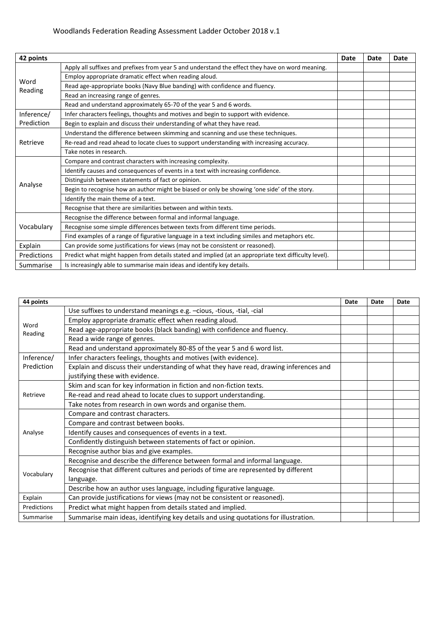## Woodlands Federation Reading Assessment Ladder October 2018 v.1

| 42 points       |                                                                                                      | Date | Date | Date |
|-----------------|------------------------------------------------------------------------------------------------------|------|------|------|
| Word<br>Reading | Apply all suffixes and prefixes from year 5 and understand the effect they have on word meaning.     |      |      |      |
|                 | Employ appropriate dramatic effect when reading aloud.                                               |      |      |      |
|                 | Read age-appropriate books (Navy Blue banding) with confidence and fluency.                          |      |      |      |
|                 | Read an increasing range of genres.                                                                  |      |      |      |
|                 | Read and understand approximately 65-70 of the year 5 and 6 words.                                   |      |      |      |
| Inference/      | Infer characters feelings, thoughts and motives and begin to support with evidence.                  |      |      |      |
| Prediction      | Begin to explain and discuss their understanding of what they have read.                             |      |      |      |
| Retrieve        | Understand the difference between skimming and scanning and use these techniques.                    |      |      |      |
|                 | Re-read and read ahead to locate clues to support understanding with increasing accuracy.            |      |      |      |
|                 | Take notes in research.                                                                              |      |      |      |
| Analyse         | Compare and contrast characters with increasing complexity.                                          |      |      |      |
|                 | Identify causes and consequences of events in a text with increasing confidence.                     |      |      |      |
|                 | Distinguish between statements of fact or opinion.                                                   |      |      |      |
|                 | Begin to recognise how an author might be biased or only be showing 'one side' of the story.         |      |      |      |
|                 | Identify the main theme of a text.                                                                   |      |      |      |
|                 | Recognise that there are similarities between and within texts.                                      |      |      |      |
| Vocabulary      | Recognise the difference between formal and informal language.                                       |      |      |      |
|                 | Recognise some simple differences between texts from different time periods.                         |      |      |      |
|                 | Find examples of a range of figurative language in a text including similes and metaphors etc.       |      |      |      |
| Explain         | Can provide some justifications for views (may not be consistent or reasoned).                       |      |      |      |
| Predictions     | Predict what might happen from details stated and implied (at an appropriate text difficulty level). |      |      |      |
| Summarise       | Is increasingly able to summarise main ideas and identify key details.                               |      |      |      |

| 44 points       |                                                                                                                           | Date | Date | Date |
|-----------------|---------------------------------------------------------------------------------------------------------------------------|------|------|------|
|                 | Use suffixes to understand meanings e.g. -cious, -tious, -tial, -cial                                                     |      |      |      |
| Word<br>Reading | Employ appropriate dramatic effect when reading aloud.                                                                    |      |      |      |
|                 | Read age-appropriate books (black banding) with confidence and fluency.                                                   |      |      |      |
|                 | Read a wide range of genres.                                                                                              |      |      |      |
|                 | Read and understand approximately 80-85 of the year 5 and 6 word list.                                                    |      |      |      |
| Inference/      | Infer characters feelings, thoughts and motives (with evidence).                                                          |      |      |      |
| Prediction      | Explain and discuss their understanding of what they have read, drawing inferences and<br>justifying these with evidence. |      |      |      |
|                 | Skim and scan for key information in fiction and non-fiction texts.                                                       |      |      |      |
| Retrieve        | Re-read and read ahead to locate clues to support understanding.                                                          |      |      |      |
|                 | Take notes from research in own words and organise them.                                                                  |      |      |      |
| Analyse         | Compare and contrast characters.                                                                                          |      |      |      |
|                 | Compare and contrast between books.                                                                                       |      |      |      |
|                 | Identify causes and consequences of events in a text.                                                                     |      |      |      |
|                 | Confidently distinguish between statements of fact or opinion.                                                            |      |      |      |
|                 | Recognise author bias and give examples.                                                                                  |      |      |      |
| Vocabulary      | Recognise and describe the difference between formal and informal language.                                               |      |      |      |
|                 | Recognise that different cultures and periods of time are represented by different                                        |      |      |      |
|                 | language.                                                                                                                 |      |      |      |
|                 | Describe how an author uses language, including figurative language.                                                      |      |      |      |
| Explain         | Can provide justifications for views (may not be consistent or reasoned).                                                 |      |      |      |
| Predictions     | Predict what might happen from details stated and implied.                                                                |      |      |      |
| Summarise       | Summarise main ideas, identifying key details and using quotations for illustration.                                      |      |      |      |